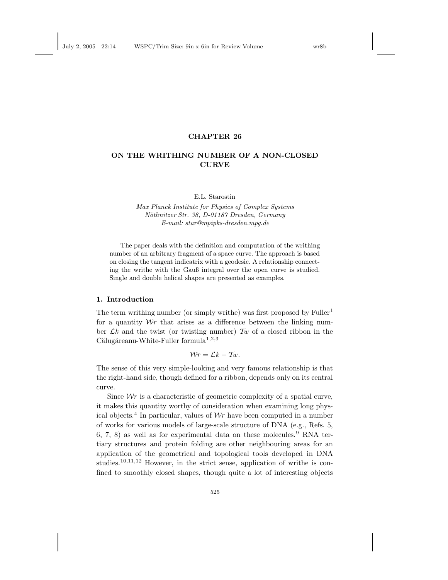#### CHAPTER 26

# ON THE WRITHING NUMBER OF A NON-CLOSED **CURVE**

E.L. Starostin

Max Planck Institute for Physics of Complex Systems Nöthnitzer Str. 38, D-01187 Dresden, Germany E-mail: star@mpipks-dresden.mpg.de

The paper deals with the definition and computation of the writhing number of an arbitrary fragment of a space curve. The approach is based on closing the tangent indicatrix with a geodesic. A relationship connecting the writhe with the Gauß integral over the open curve is studied. Single and double helical shapes are presented as examples.

#### 1. Introduction

The term writhing number (or simply writhe) was first proposed by  $\text{Fuller}^1$ for a quantity  $Wr$  that arises as a difference between the linking number  $\mathcal{L}k$  and the twist (or twisting number)  $\mathcal{T}w$  of a closed ribbon in the  $C\tilde{a}$ lugăreanu-White-Fuller formula<sup>1,2,3</sup>

$$
Wr = \mathcal{L}k - Tw.
$$

The sense of this very simple-looking and very famous relationship is that the right-hand side, though defined for a ribbon, depends only on its central curve.

Since  $Wr$  is a characteristic of geometric complexity of a spatial curve, it makes this quantity worthy of consideration when examining long physical objects.<sup>4</sup> In particular, values of  $Wr$  have been computed in a number of works for various models of large-scale structure of DNA (e.g., Refs. 5, 6, 7, 8) as well as for experimental data on these molecules.<sup>9</sup> RNA tertiary structures and protein folding are other neighbouring areas for an application of the geometrical and topological tools developed in DNA studies.<sup>10,11,12</sup> However, in the strict sense, application of writhe is confined to smoothly closed shapes, though quite a lot of interesting objects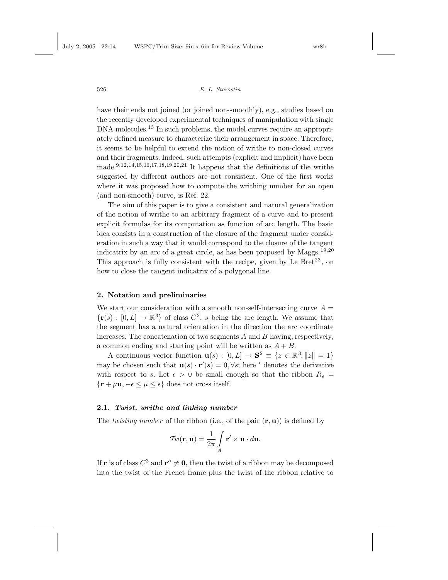have their ends not joined (or joined non-smoothly), e.g., studies based on the recently developed experimental techniques of manipulation with single DNA molecules.<sup>13</sup> In such problems, the model curves require an appropriately defined measure to characterize their arrangement in space. Therefore, it seems to be helpful to extend the notion of writhe to non-closed curves and their fragments. Indeed, such attempts (explicit and implicit) have been made.<sup>9,12,14,15,16,17,18,19,20,21</sup> It happens that the definitions of the writhe suggested by different authors are not consistent. One of the first works where it was proposed how to compute the writhing number for an open (and non-smooth) curve, is Ref. 22.

The aim of this paper is to give a consistent and natural generalization of the notion of writhe to an arbitrary fragment of a curve and to present explicit formulas for its computation as function of arc length. The basic idea consists in a construction of the closure of the fragment under consideration in such a way that it would correspond to the closure of the tangent indicatrix by an arc of a great circle, as has been proposed by Maggs.<sup>19,20</sup> This approach is fully consistent with the recipe, given by Le  $Bret^{23}$ , on how to close the tangent indicatrix of a polygonal line.

#### 2. Notation and preliminaries

We start our consideration with a smooth non-self-intersecting curve  $A =$  $\{r(s) : [0, L] \to \mathbb{R}^3\}$  of class  $C^2$ , s being the arc length. We assume that the segment has a natural orientation in the direction the arc coordinate increases. The concatenation of two segments  $A$  and  $B$  having, respectively, a common ending and starting point will be written as  $A + B$ .

A continuous vector function  $\mathbf{u}(s) : [0, L] \to \mathbf{S}^2 \equiv \{z \in \mathbb{R}^3; ||z|| = 1\}$ may be chosen such that  $\mathbf{u}(s) \cdot \mathbf{r}'(s) = 0, \forall s$ ; here ' denotes the derivative with respect to s. Let  $\epsilon > 0$  be small enough so that the ribbon  $R_{\epsilon} =$  $\{r + \mu u, -\epsilon \leq \mu \leq \epsilon\}$  does not cross itself.

#### 2.1. Twist, writhe and linking number

The *twisting number* of the ribbon (i.e., of the pair  $(\mathbf{r}, \mathbf{u})$ ) is defined by

$$
\mathcal{T}w(\mathbf{r}, \mathbf{u}) = \frac{1}{2\pi} \int\limits_A \mathbf{r}' \times \mathbf{u} \cdot d\mathbf{u}.
$$

If **r** is of class  $C^3$  and  $\mathbf{r}'' \neq \mathbf{0}$ , then the twist of a ribbon may be decomposed into the twist of the Frenet frame plus the twist of the ribbon relative to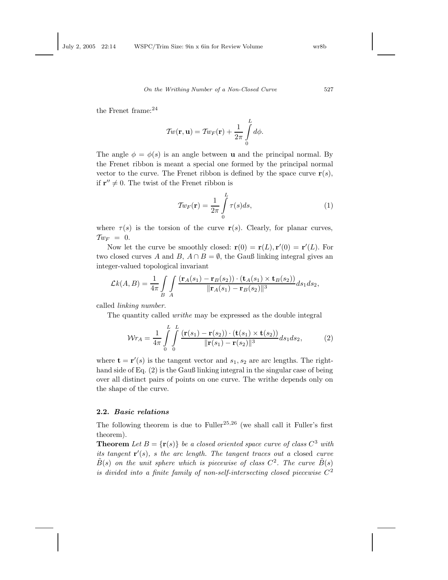the Frenet frame:<sup>24</sup>

$$
\mathcal{T}w(\mathbf{r},\mathbf{u})=\mathcal{T}w_F(\mathbf{r})+\frac{1}{2\pi}\int\limits_0^Ld\phi.
$$

The angle  $\phi = \phi(s)$  is an angle between **u** and the principal normal. By the Frenet ribbon is meant a special one formed by the principal normal vector to the curve. The Frenet ribbon is defined by the space curve  $r(s)$ , if  $\mathbf{r}'' \neq 0$ . The twist of the Frenet ribbon is

$$
\mathcal{T}w_F(\mathbf{r}) = \frac{1}{2\pi} \int_{0}^{L} \tau(s)ds,
$$
\n(1)

where  $\tau(s)$  is the torsion of the curve  $\mathbf{r}(s)$ . Clearly, for planar curves,  $\mathcal{T}_{WF} = 0.$ 

Now let the curve be smoothly closed:  $\mathbf{r}(0) = \mathbf{r}(L), \mathbf{r}'(0) = \mathbf{r}'(L)$ . For two closed curves A and B,  $A \cap B = \emptyset$ , the Gauß linking integral gives an integer-valued topological invariant

$$
\mathcal{L}k(A,B) = \frac{1}{4\pi} \int\limits_B \int\limits_A \frac{(\mathbf{r}_A(s_1) - \mathbf{r}_B(s_2)) \cdot (\mathbf{t}_A(s_1) \times \mathbf{t}_B(s_2))}{\|\mathbf{r}_A(s_1) - \mathbf{r}_B(s_2)\|^3} ds_1 ds_2,
$$

called linking number.

The quantity called writhe may be expressed as the double integral

$$
\mathcal{W}r_A = \frac{1}{4\pi} \int\limits_0^L \int\limits_0^L \frac{\left(\mathbf{r}(s_1) - \mathbf{r}(s_2)\right) \cdot \left(\mathbf{t}(s_1) \times \mathbf{t}(s_2)\right)}{\|\mathbf{r}(s_1) - \mathbf{r}(s_2)\|^3} ds_1 ds_2, \tag{2}
$$

where  $\mathbf{t} = \mathbf{r}'(s)$  is the tangent vector and  $s_1, s_2$  are arc lengths. The righthand side of Eq. (2) is the Gauß linking integral in the singular case of being over all distinct pairs of points on one curve. The writhe depends only on the shape of the curve.

### 2.2. Basic relations

The following theorem is due to Fuller<sup>25,26</sup> (we shall call it Fuller's first theorem).

**Theorem** Let  $B = {r(s)}$  be a closed oriented space curve of class  $C^3$  with its tangent  $\mathbf{r}'(s)$ , s the arc length. The tangent traces out a closed curve  $\tilde{B}(s)$  on the unit sphere which is piecewise of class  $C^2$ . The curve  $\tilde{B}(s)$ is divided into a finite family of non-self-intersecting closed piecewise  $C^2$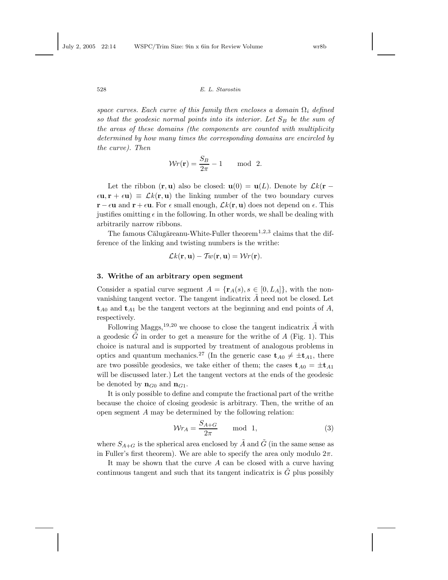space curves. Each curve of this family then encloses a domain  $\Omega_i$  defined so that the geodesic normal points into its interior. Let  $S_B$  be the sum of the areas of these domains (the components are counted with multiplicity determined by how many times the corresponding domains are encircled by the curve). Then

$$
Wr(\mathbf{r}) = \frac{S_B}{2\pi} - 1 \quad \text{mod } 2.
$$

Let the ribbon  $(\mathbf{r}, \mathbf{u})$  also be closed:  $\mathbf{u}(0) = \mathbf{u}(L)$ . Denote by  $\mathcal{L}k(\mathbf{r} - \mathbf{v})$  $\epsilon \mathbf{u}, \mathbf{r} + \epsilon \mathbf{u}$  =  $\mathcal{L}k(\mathbf{r}, \mathbf{u})$  the linking number of the two boundary curves  $\mathbf{r} - \epsilon \mathbf{u}$  and  $\mathbf{r} + \epsilon \mathbf{u}$ . For  $\epsilon$  small enough,  $\mathcal{L}k(\mathbf{r}, \mathbf{u})$  does not depend on  $\epsilon$ . This justifies omitting  $\epsilon$  in the following. In other words, we shall be dealing with arbitrarily narrow ribbons.

The famous Călugăreanu-White-Fuller theorem<sup>1,2,3</sup> claims that the difference of the linking and twisting numbers is the writhe:

$$
\mathcal{L}k(\mathbf{r},\mathbf{u})-\mathcal{T}w(\mathbf{r},\mathbf{u})=\mathcal{W}r(\mathbf{r}).
$$

#### 3. Writhe of an arbitrary open segment

Consider a spatial curve segment  $A = {\mathbf{r}_A(s), s \in [0, L_A]}$ , with the nonvanishing tangent vector. The tangent indicatrix  $\tilde{A}$  need not be closed. Let  $t_{A0}$  and  $t_{A1}$  be the tangent vectors at the beginning and end points of A, respectively.

Following Maggs,<sup>19,20</sup> we choose to close the tangent indicatrix  $\tilde{A}$  with a geodesic  $\tilde{G}$  in order to get a measure for the writhe of A (Fig. 1). This choice is natural and is supported by treatment of analogous problems in optics and quantum mechanics.<sup>27</sup> (In the generic case  $t_{A0} \neq \pm t_{A1}$ , there are two possible geodesics, we take either of them; the cases  $t_{A0} = \pm t_{A1}$ will be discussed later.) Let the tangent vectors at the ends of the geodesic be denoted by  $\mathbf{n}_{G0}$  and  $\mathbf{n}_{G1}$ .

It is only possible to define and compute the fractional part of the writhe because the choice of closing geodesic is arbitrary. Then, the writhe of an open segment A may be determined by the following relation:

$$
\mathcal{W}r_A = \frac{S_{A+G}}{2\pi} \qquad \text{mod } 1,\tag{3}
$$

where  $S_{A+G}$  is the spherical area enclosed by  $\tilde{A}$  and  $\tilde{G}$  (in the same sense as in Fuller's first theorem). We are able to specify the area only modulo  $2\pi$ .

It may be shown that the curve  $A$  can be closed with a curve having continuous tangent and such that its tangent indicatrix is  $\tilde{G}$  plus possibly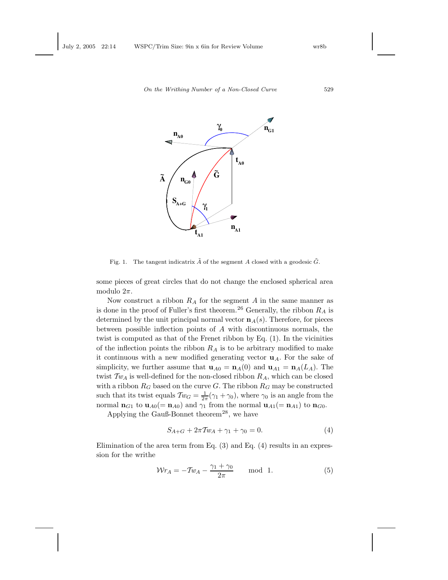

Fig. 1. The tangent indicatrix  $\tilde{A}$  of the segment A closed with a geodesic  $\tilde{G}$ .

some pieces of great circles that do not change the enclosed spherical area modulo  $2\pi$ .

Now construct a ribbon  $R_A$  for the segment A in the same manner as is done in the proof of Fuller's first theorem.<sup>26</sup> Generally, the ribbon  $R_A$  is determined by the unit principal normal vector  $\mathbf{n}_A(s)$ . Therefore, for pieces between possible inflection points of A with discontinuous normals, the twist is computed as that of the Frenet ribbon by Eq. (1). In the vicinities of the inflection points the ribbon  $R_A$  is to be arbitrary modified to make it continuous with a new modified generating vector  $\mathbf{u}_A$ . For the sake of simplicity, we further assume that  $\mathbf{u}_{A0} = \mathbf{n}_A(0)$  and  $\mathbf{u}_{A1} = \mathbf{n}_A(L_A)$ . The twist  $Tw_A$  is well-defined for the non-closed ribbon  $R_A$ , which can be closed with a ribbon  $R_G$  based on the curve G. The ribbon  $R_G$  may be constructed such that its twist equals  $\mathcal{T}w_G = \frac{1}{2\pi}(\gamma_1 + \gamma_0)$ , where  $\gamma_0$  is an angle from the normal  $\mathbf{n}_{G1}$  to  $\mathbf{u}_{A0} (= \mathbf{n}_{A0})$  and  $\gamma_1$  from the normal  $\mathbf{u}_{A1} (= \mathbf{n}_{A1})$  to  $\mathbf{n}_{G0}$ .

Applying the Gauß-Bonnet theorem<sup>28</sup>, we have

$$
S_{A+G} + 2\pi T w_A + \gamma_1 + \gamma_0 = 0. \tag{4}
$$

Elimination of the area term from Eq. (3) and Eq. (4) results in an expression for the writhe

$$
\mathcal{W}r_A = -\mathcal{I}w_A - \frac{\gamma_1 + \gamma_0}{2\pi} \quad \text{mod } 1. \tag{5}
$$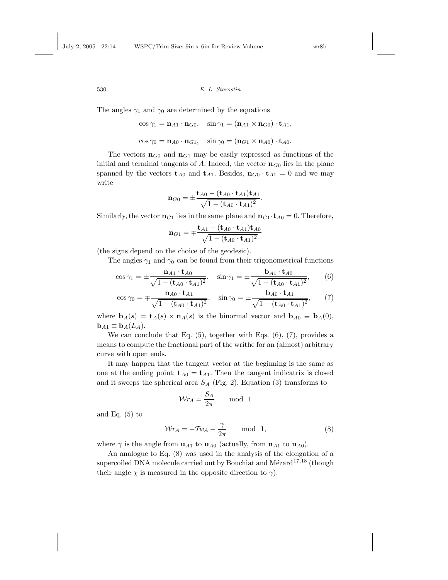The angles  $\gamma_1$  and  $\gamma_0$  are determined by the equations

$$
\cos \gamma_1 = \mathbf{n}_{A1} \cdot \mathbf{n}_{G0}, \quad \sin \gamma_1 = (\mathbf{n}_{A1} \times \mathbf{n}_{G0}) \cdot \mathbf{t}_{A1},
$$

$$
\cos \gamma_0 = \mathbf{n}_{A0} \cdot \mathbf{n}_{G1}, \quad \sin \gamma_0 = (\mathbf{n}_{G1} \times \mathbf{n}_{A0}) \cdot \mathbf{t}_{A0}.
$$

The vectors  $n_{G0}$  and  $n_{G1}$  may be easily expressed as functions of the initial and terminal tangents of A. Indeed, the vector  $\mathbf{n}_{G0}$  lies in the plane spanned by the vectors  $\mathbf{t}_{A0}$  and  $\mathbf{t}_{A1}$ . Besides,  $\mathbf{n}_{G0} \cdot \mathbf{t}_{A1} = 0$  and we may write

$$
\mathbf{n}_{G0} = \pm \frac{\mathbf{t}_{A0} - (\mathbf{t}_{A0} \cdot \mathbf{t}_{A1}) \mathbf{t}_{A1}}{\sqrt{1 - (\mathbf{t}_{A0} \cdot \mathbf{t}_{A1})^2}}.
$$

Similarly, the vector  $\mathbf{n}_{G1}$  lies in the same plane and  $\mathbf{n}_{G1} \cdot \mathbf{t}_{A0} = 0$ . Therefore,

$$
\mathbf{n}_{G1} = \mp \frac{\mathbf{t}_{A1} - (\mathbf{t}_{A0} \cdot \mathbf{t}_{A1}) \mathbf{t}_{A0}}{\sqrt{1 - (\mathbf{t}_{A0} \cdot \mathbf{t}_{A1})^2}}
$$

(the signs depend on the choice of the geodesic).

The angles  $\gamma_1$  and  $\gamma_0$  can be found from their trigonometrical functions

$$
\cos \gamma_1 = \pm \frac{\mathbf{n}_{A1} \cdot \mathbf{t}_{A0}}{\sqrt{1 - (\mathbf{t}_{A0} \cdot \mathbf{t}_{A1})^2}}, \quad \sin \gamma_1 = \pm \frac{\mathbf{b}_{A1} \cdot \mathbf{t}_{A0}}{\sqrt{1 - (\mathbf{t}_{A0} \cdot \mathbf{t}_{A1})^2}}, \qquad (6)
$$

$$
\cos \gamma_0 = \mp \frac{\mathbf{n}_{A0} \cdot \mathbf{t}_{A1}}{\sqrt{1 - (\mathbf{t}_{A0} \cdot \mathbf{t}_{A1})^2}}, \quad \sin \gamma_0 = \pm \frac{\mathbf{b}_{A0} \cdot \mathbf{t}_{A1}}{\sqrt{1 - (\mathbf{t}_{A0} \cdot \mathbf{t}_{A1})^2}}, \tag{7}
$$

where  $\mathbf{b}_A(s) = \mathbf{t}_A(s) \times \mathbf{n}_A(s)$  is the binormal vector and  $\mathbf{b}_{A0} \equiv \mathbf{b}_A(0)$ ,  $$ 

We can conclude that Eq.  $(5)$ , together with Eqs.  $(6)$ ,  $(7)$ , provides a means to compute the fractional part of the writhe for an (almost) arbitrary curve with open ends.

It may happen that the tangent vector at the beginning is the same as one at the ending point:  $t_{A0} = t_{A1}$ . Then the tangent indicatrix is closed and it sweeps the spherical area  $S_A$  (Fig. 2). Equation (3) transforms to

$$
\mathcal{W}r_A = \frac{S_A}{2\pi} \quad \text{mod } 1
$$

and Eq.  $(5)$  to

$$
\mathcal{W}r_A = -\mathcal{T}w_A - \frac{\gamma}{2\pi} \quad \text{mod } 1,\tag{8}
$$

where  $\gamma$  is the angle from  $\mathbf{u}_{A1}$  to  $\mathbf{u}_{A0}$  (actually, from  $\mathbf{n}_{A1}$  to  $\mathbf{n}_{A0}$ ).

An analogue to Eq. (8) was used in the analysis of the elongation of a supercoiled DNA molecule carried out by Bouchiat and Mézard<sup>17,18</sup> (though their angle  $\chi$  is measured in the opposite direction to  $\gamma$ ).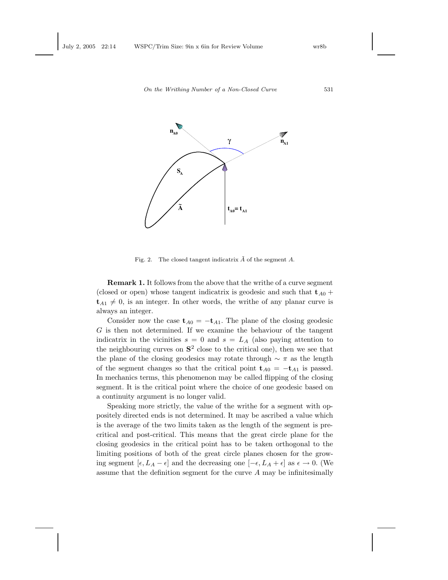

Fig. 2. The closed tangent indicatrix  $\tilde{A}$  of the segment A.

Remark 1. It follows from the above that the writhe of a curve segment (closed or open) whose tangent indicatrix is geodesic and such that  $t_{A0}$  +  $t_{A1} \neq 0$ , is an integer. In other words, the writhe of any planar curve is always an integer.

Consider now the case  $t_{A0} = -t_{A1}$ . The plane of the closing geodesic  $G$  is then not determined. If we examine the behaviour of the tangent indicatrix in the vicinities  $s = 0$  and  $s = L<sub>A</sub>$  (also paying attention to the neighbouring curves on  $S^2$  close to the critical one), then we see that the plane of the closing geodesics may rotate through  $\sim \pi$  as the length of the segment changes so that the critical point  $t_{A0} = -t_{A1}$  is passed. In mechanics terms, this phenomenon may be called flipping of the closing segment. It is the critical point where the choice of one geodesic based on a continuity argument is no longer valid.

Speaking more strictly, the value of the writhe for a segment with oppositely directed ends is not determined. It may be ascribed a value which is the average of the two limits taken as the length of the segment is precritical and post-critical. This means that the great circle plane for the closing geodesics in the critical point has to be taken orthogonal to the limiting positions of both of the great circle planes chosen for the growing segment  $[\epsilon, L_A - \epsilon]$  and the decreasing one  $[-\epsilon, L_A + \epsilon]$  as  $\epsilon \to 0$ . (We assume that the definition segment for the curve A may be infinitesimally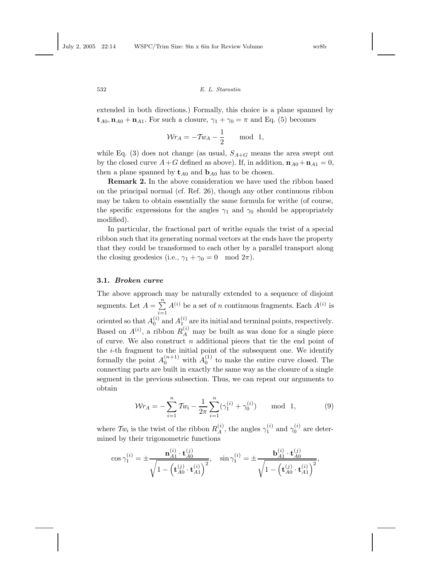extended in both directions.) Formally, this choice is a plane spanned by  $\mathbf{t}_{A0}, \mathbf{n}_{A0} + \mathbf{n}_{A1}$ . For such a closure,  $\gamma_1 + \gamma_0 = \pi$  and Eq. (5) becomes

$$
\mathcal{W}r_A = -Tw_A - \frac{1}{2} \quad \text{mod } 1,
$$

while Eq. (3) does not change (as usual,  $S_{A+G}$  means the area swept out by the closed curve  $A + G$  defined as above). If, in addition,  $\mathbf{n}_{A0} + \mathbf{n}_{A1} = 0$ , then a plane spanned by  $t_{A0}$  and  $b_{A0}$  has to be chosen.

Remark 2. In the above consideration we have used the ribbon based on the principal normal (cf. Ref. 26), though any other continuous ribbon may be taken to obtain essentially the same formula for writhe (of course, the specific expressions for the angles  $\gamma_1$  and  $\gamma_0$  should be appropriately modified).

In particular, the fractional part of writhe equals the twist of a special ribbon such that its generating normal vectors at the ends have the property that they could be transformed to each other by a parallel transport along the closing geodesics (i.e.,  $\gamma_1 + \gamma_0 = 0 \mod 2\pi$ ).

#### 3.1. Broken curve

The above approach may be naturally extended to a sequence of disjoint segments. Let  $A = \sum_{i=1}^{n} A^{(i)}$  be a set of n continuous fragments. Each  $A^{(i)}$  is  $i=1$ oriented so that  $A_0^{(i)}$  and  $A_{1}^{(i)}$  are its initial and terminal points, respectively. Based on  $A^{(i)}$ , a ribbon  $R_A^{(i)}$  may be built as was done for a single piece of curve. We also construct  $n$  additional pieces that tie the end point of the  $i$ -th fragment to the initial point of the subsequent one. We identify formally the point  $A_0^{(n+1)}$  with  $A_0^{(1)}$  to make the entire curve closed. The connecting parts are built in exactly the same way as the closure of a single segment in the previous subsection. Thus, we can repeat our arguments to obtain

$$
\mathcal{W}r_A = -\sum_{i=1}^n \mathcal{I}w_i - \frac{1}{2\pi} \sum_{i=1}^n (\gamma_1^{(i)} + \gamma_0^{(i)}) \quad \text{mod } 1,
$$
 (9)

where  $Tw_i$  is the twist of the ribbon  $R_A^{(i)}$ , the angles  $\gamma_1^{(i)}$  and  $\gamma_0^{(i)}$  are determined by their trigonometric functions

$$
\cos \gamma_1^{(i)} = \pm \frac{\mathbf{n}_{A1}^{(i)} \cdot \mathbf{t}_{A0}^{(j)}}{\sqrt{1 - (\mathbf{t}_{A0}^{(j)} \cdot \mathbf{t}_{A1}^{(i)})^2}}, \quad \sin \gamma_1^{(i)} = \pm \frac{\mathbf{b}_{A1}^{(i)} \cdot \mathbf{t}_{A0}^{(j)}}{\sqrt{1 - (\mathbf{t}_{A0}^{(j)} \cdot \mathbf{t}_{A1}^{(i)})^2}},
$$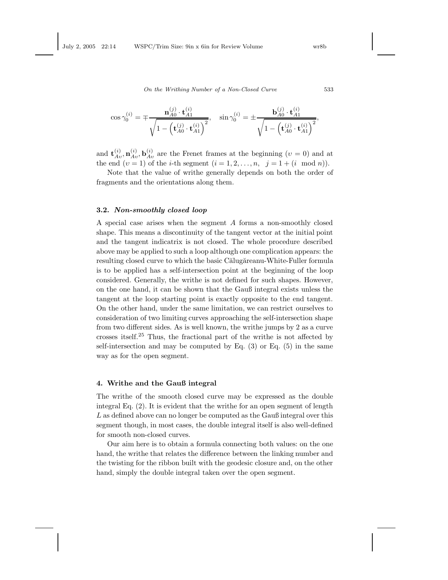$$
\cos\gamma_0^{(i)} = \mp \frac{\mathbf{n}_{A0}^{(j)} \cdot \mathbf{t}_{A1}^{(i)}}{\sqrt{1-\left(\mathbf{t}_{A0}^{(j)} \cdot \mathbf{t}_{A1}^{(i)}\right)^2}}, \quad \sin\gamma_0^{(i)} = \pm \frac{\mathbf{b}_{A0}^{(j)} \cdot \mathbf{t}_{A1}^{(i)}}{\sqrt{1-\left(\mathbf{t}_{A0}^{(j)} \cdot \mathbf{t}_{A1}^{(i)}\right)^2}},
$$

and  $\mathbf{t}_{Av}^{(i)}$ ,  $\mathbf{n}_{Av}^{(i)}$ ,  $\mathbf{b}_{Av}^{(i)}$  are the Frenet frames at the beginning  $(v = 0)$  and at the end  $(v = 1)$  of the *i*-th segment  $(i = 1, 2, ..., n, j = 1 + (i \mod n)).$ 

Note that the value of writhe generally depends on both the order of fragments and the orientations along them.

### 3.2. Non-smoothly closed loop

A special case arises when the segment A forms a non-smoothly closed shape. This means a discontinuity of the tangent vector at the initial point and the tangent indicatrix is not closed. The whole procedure described above may be applied to such a loop although one complication appears: the resulting closed curve to which the basic Călugăreanu-White-Fuller formula is to be applied has a self-intersection point at the beginning of the loop considered. Generally, the writhe is not defined for such shapes. However, on the one hand, it can be shown that the Gauß integral exists unless the tangent at the loop starting point is exactly opposite to the end tangent. On the other hand, under the same limitation, we can restrict ourselves to consideration of two limiting curves approaching the self-intersection shape from two different sides. As is well known, the writhe jumps by 2 as a curve crosses itself.<sup>25</sup> Thus, the fractional part of the writhe is not affected by self-intersection and may be computed by Eq.  $(3)$  or Eq.  $(5)$  in the same way as for the open segment.

### 4. Writhe and the Gauß integral

The writhe of the smooth closed curve may be expressed as the double integral Eq. (2). It is evident that the writhe for an open segment of length L as defined above can no longer be computed as the Gauß integral over this segment though, in most cases, the double integral itself is also well-defined for smooth non-closed curves.

Our aim here is to obtain a formula connecting both values: on the one hand, the writhe that relates the difference between the linking number and the twisting for the ribbon built with the geodesic closure and, on the other hand, simply the double integral taken over the open segment.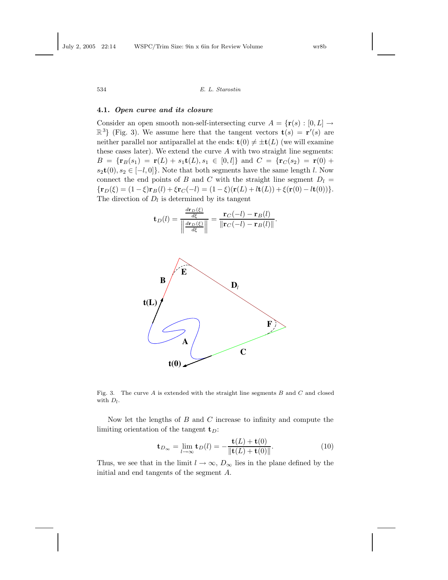#### 4.1. Open curve and its closure

Consider an open smooth non-self-intersecting curve  $A = \{r(s) : [0, L] \rightarrow$  $\mathbb{R}^{3}$  (Fig. 3). We assume here that the tangent vectors  $\mathbf{t}(s) = \mathbf{r}'(s)$  are neither parallel nor antiparallel at the ends:  $\mathbf{t}(0) \neq \pm \mathbf{t}(L)$  (we will examine these cases later). We extend the curve  $A$  with two straight line segments:  $B = {\mathbf{r}_B(s_1) = \mathbf{r}(L) + s_1\mathbf{t}(L), s_1 \in [0, l]}$  and  $C = {\mathbf{r}_C(s_2) = \mathbf{r}(0) + \mathbf{r}(0)}$  $s_2t(0), s_2 \in [-l, 0]$ . Note that both segments have the same length l. Now connect the end points of B and C with the straight line segment  $D_l =$  ${\bf r}_D(\xi) = (1-\xi){\bf r}_B(l) + {\bf \xi}{\bf r}_C(-l) = (1-\xi)({\bf r}(L) + l{\bf t}(L)) + {\bf \xi}({\bf r}(0) - l{\bf t}(0))$ . The direction of  $D_l$  is determined by its tangent

$$
\mathbf{t}_D(l) = \frac{\frac{d\mathbf{r}_D(\xi)}{d\xi}}{\left\|\frac{d\mathbf{r}_D(\xi)}{d\xi}\right\|} = \frac{\mathbf{r}_C(-l) - \mathbf{r}_B(l)}{\left\|\mathbf{r}_C(-l) - \mathbf{r}_B(l)\right\|}.
$$



Fig. 3. The curve  $A$  is extended with the straight line segments  $B$  and  $C$  and closed with  $D_l$ .

Now let the lengths of  $B$  and  $C$  increase to infinity and compute the limiting orientation of the tangent  $t_D$ :

$$
\mathbf{t}_{D_{\infty}} = \lim_{l \to \infty} \mathbf{t}_D(l) = -\frac{\mathbf{t}(L) + \mathbf{t}(0)}{\|\mathbf{t}(L) + \mathbf{t}(0)\|}.
$$
 (10)

Thus, we see that in the limit  $l \to \infty$ ,  $D_{\infty}$  lies in the plane defined by the initial and end tangents of the segment A.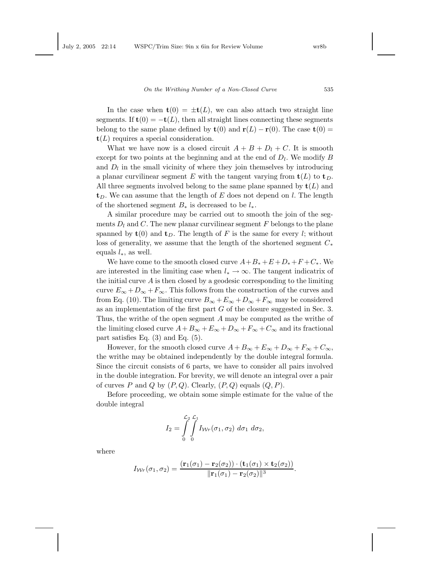In the case when  $t(0) = \pm t(L)$ , we can also attach two straight line segments. If  $t(0) = -t(L)$ , then all straight lines connecting these segments belong to the same plane defined by  $\mathbf{t}(0)$  and  $\mathbf{r}(L) - \mathbf{r}(0)$ . The case  $\mathbf{t}(0) =$  $\mathbf{t}(L)$  requires a special consideration.

What we have now is a closed circuit  $A + B + D_l + C$ . It is smooth except for two points at the beginning and at the end of  $D_l$ . We modify B and  $D_l$  in the small vicinity of where they join themselves by introducing a planar curvilinear segment E with the tangent varying from  $\mathbf{t}(L)$  to  $\mathbf{t}_D$ . All three segments involved belong to the same plane spanned by  $\mathbf{t}(L)$  and  $t<sub>D</sub>$ . We can assume that the length of E does not depend on l. The length of the shortened segment  $B_*$  is decreased to be  $l_*$ .

A similar procedure may be carried out to smooth the join of the segments  $D_l$  and C. The new planar curvilinear segment F belongs to the plane spanned by  $t(0)$  and  $t_D$ . The length of F is the same for every l; without loss of generality, we assume that the length of the shortened segment  $C_*$ equals  $l_*,$  as well.

We have come to the smooth closed curve  $A+B_*+E+D_*+F+C_*$ . We are interested in the limiting case when  $l_* \to \infty$ . The tangent indicatrix of the initial curve  $A$  is then closed by a geodesic corresponding to the limiting curve  $E_{\infty} + D_{\infty} + F_{\infty}$ . This follows from the construction of the curves and from Eq. (10). The limiting curve  $B_{\infty} + E_{\infty} + D_{\infty} + F_{\infty}$  may be considered as an implementation of the first part  $G$  of the closure suggested in Sec. 3. Thus, the writhe of the open segment A may be computed as the writhe of the limiting closed curve  $A+B_{\infty}+E_{\infty}+D_{\infty}+F_{\infty}+C_{\infty}$  and its fractional part satisfies Eq. (3) and Eq. (5).

However, for the smooth closed curve  $A + B_{\infty} + E_{\infty} + D_{\infty} + F_{\infty} + C_{\infty}$ , the writhe may be obtained independently by the double integral formula. Since the circuit consists of 6 parts, we have to consider all pairs involved in the double integration. For brevity, we will denote an integral over a pair of curves P and Q by  $(P,Q)$ . Clearly,  $(P,Q)$  equals  $(Q, P)$ .

Before proceeding, we obtain some simple estimate for the value of the double integral

$$
I_2 = \int\limits_0^{\mathcal{L}_2} \int\limits_0^{\mathcal{L}_1} I_{\mathcal{W}_r}(\sigma_1, \sigma_2) \, d\sigma_1 \, d\sigma_2,
$$

where

$$
I_{\mathcal{W}r}(\sigma_1, \sigma_2) = \frac{(\mathbf{r}_1(\sigma_1) - \mathbf{r}_2(\sigma_2)) \cdot (\mathbf{t}_1(\sigma_1) \times \mathbf{t}_2(\sigma_2))}{\|\mathbf{r}_1(\sigma_1) - \mathbf{r}_2(\sigma_2)\|^3}.
$$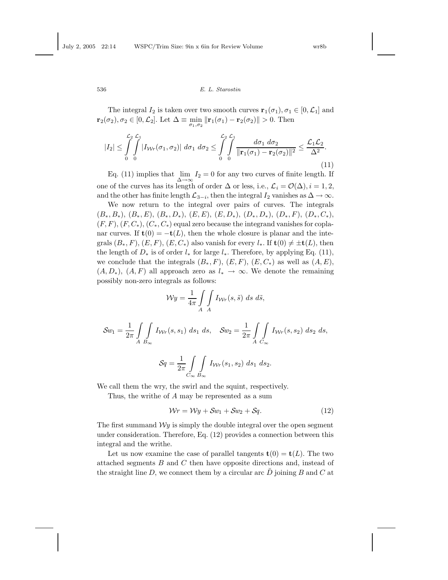The integral  $I_2$  is taken over two smooth curves  $\mathbf{r}_1(\sigma_1), \sigma_1 \in [0, \mathcal{L}_1]$  and  $\mathbf{r}_2(\sigma_2), \sigma_2 \in [0, \mathcal{L}_2]$ . Let  $\Delta \equiv \min_{\sigma_1, \sigma_2} \|\mathbf{r}_1(\sigma_1) - \mathbf{r}_2(\sigma_2)\| > 0$ . Then

$$
|I_2| \leq \int_0^{\mathcal{L}_2} \int_0^{\mathcal{L}_1} |I_{\mathcal{W}r}(\sigma_1, \sigma_2)| \, d\sigma_1 \, d\sigma_2 \leq \int_0^{\mathcal{L}_2} \int_0^{\mathcal{L}_1} \frac{d\sigma_1 \, d\sigma_2}{\|\mathbf{r}_1(\sigma_1) - \mathbf{r}_2(\sigma_2)\|^2} \leq \frac{\mathcal{L}_1 \mathcal{L}_2}{\Delta^2}.
$$
\n(11)

Eq. (11) implies that  $\lim_{\Delta \to \infty} I_2 = 0$  for any two curves of finite length. If one of the curves has its length of order  $\Delta$  or less, i.e.,  $\mathcal{L}_i = \mathcal{O}(\Delta), i = 1, 2$ , and the other has finite length  $\mathcal{L}_{3-i}$ , then the integral  $I_2$  vanishes as  $\Delta \to \infty$ .

We now return to the integral over pairs of curves. The integrals  $(B_*, B_*), (B_*, E), (B_*, D_*), (E, E), (E, D_*), (D_*, D_*), (D_*, F), (D_*, C_*),$  $(F, F), (F, C_*,), (C_*, C_*)$  equal zero because the integrand vanishes for coplanar curves. If  $t(0) = -t(L)$ , then the whole closure is planar and the integrals  $(B_*, F)$ ,  $(E, F)$ ,  $(E, C_*)$  also vanish for every  $l_*$ . If  $\mathbf{t}(0) \neq \pm \mathbf{t}(L)$ , then the length of  $D_*$  is of order  $l_*$  for large  $l_*$ . Therefore, by applying Eq. (11), we conclude that the integrals  $(B_*, F), (E, F), (E, C_*)$  as well as  $(A, E),$  $(A, D_*)$ ,  $(A, F)$  all approach zero as  $l_* \to \infty$ . We denote the remaining possibly non-zero integrals as follows:

$$
\mathcal{W}y = \frac{1}{4\pi} \int\limits_A \int\limits_A I_{\mathcal{W}r}(s,\tilde{s}) \, ds \, d\tilde{s},
$$

$$
\mathcal{S}w_1 = \frac{1}{2\pi} \int\int\limits_{A} \int\limits_{B_{\infty}} I_{\mathcal{W}r}(s, s_1) \, ds_1 \, ds, \quad \mathcal{S}w_2 = \frac{1}{2\pi} \int\int\limits_{A} \int\limits_{C_{\infty}} I_{\mathcal{W}r}(s, s_2) \, ds_2 \, ds,
$$

$$
\mathcal{S}q = \frac{1}{2\pi} \int\limits_{C_{\infty}} \int\limits_{B_{\infty}} I_{\mathcal{W}r}(s_1, s_2) \, ds_1 \, ds_2.
$$

We call them the wry, the swirl and the squint, respectively.

Thus, the writhe of A may be represented as a sum

$$
\mathcal{W}r = \mathcal{W}y + \mathcal{S}w_1 + \mathcal{S}w_2 + \mathcal{S}q. \tag{12}
$$

The first summand  $\mathcal{W}y$  is simply the double integral over the open segment under consideration. Therefore, Eq. (12) provides a connection between this integral and the writhe.

Let us now examine the case of parallel tangents  $\mathbf{t}(0) = \mathbf{t}(L)$ . The two attached segments B and C then have opposite directions and, instead of the straight line  $D$ , we connect them by a circular arc  $D$  joining  $B$  and  $C$  at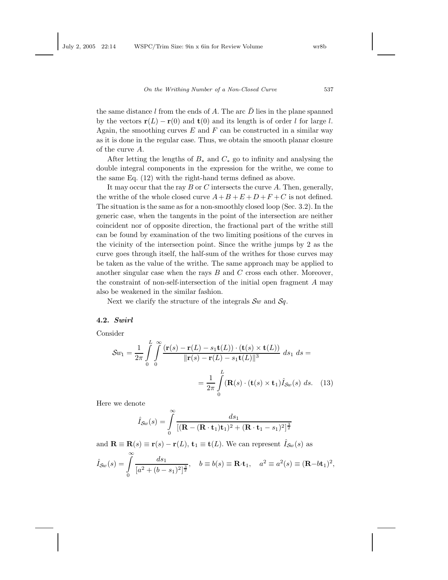the same distance l from the ends of A. The arc  $\tilde{D}$  lies in the plane spanned by the vectors  $\mathbf{r}(L) - \mathbf{r}(0)$  and  $\mathbf{t}(0)$  and its length is of order l for large l. Again, the smoothing curves  $E$  and  $F$  can be constructed in a similar way as it is done in the regular case. Thus, we obtain the smooth planar closure of the curve A.

After letting the lengths of  $B_*$  and  $C_*$  go to infinity and analysing the double integral components in the expression for the writhe, we come to the same Eq. (12) with the right-hand terms defined as above.

It may occur that the ray  $B$  or  $C$  intersects the curve  $A$ . Then, generally, the writhe of the whole closed curve  $A+B+E+D+F+C$  is not defined. The situation is the same as for a non-smoothly closed loop (Sec. 3.2). In the generic case, when the tangents in the point of the intersection are neither coincident nor of opposite direction, the fractional part of the writhe still can be found by examination of the two limiting positions of the curves in the vicinity of the intersection point. Since the writhe jumps by 2 as the curve goes through itself, the half-sum of the writhes for those curves may be taken as the value of the writhe. The same approach may be applied to another singular case when the rays  $B$  and  $C$  cross each other. Moreover, the constraint of non-self-intersection of the initial open fragment A may also be weakened in the similar fashion.

Next we clarify the structure of the integrals  $\mathcal{S}_w$  and  $\mathcal{S}_q$ .

# 4.2. Swirl

Consider

$$
\mathcal{S}w_1 = \frac{1}{2\pi} \int_0^L \int_0^{\infty} \frac{(\mathbf{r}(s) - \mathbf{r}(L) - s_1 \mathbf{t}(L)) \cdot (\mathbf{t}(s) \times \mathbf{t}(L))}{\|\mathbf{r}(s) - \mathbf{r}(L) - s_1 \mathbf{t}(L)\|^3} ds_1 ds =
$$

$$
= \frac{1}{2\pi} \int_0^L (\mathbf{R}(s) \cdot (\mathbf{t}(s) \times \mathbf{t}_1) \hat{I}_{\mathcal{S}w}(s) ds. (13)
$$

Here we denote

$$
\hat{I}_{\mathcal{S}w}(s) = \int\limits_0^\infty \frac{ds_1}{\left[ (\mathbf{R} - (\mathbf{R} \cdot \mathbf{t}_1)\mathbf{t}_1)^2 + (\mathbf{R} \cdot \mathbf{t}_1 - s_1)^2 \right]^{\frac{3}{2}}}
$$

and  $\mathbf{R} \equiv \mathbf{R}(s) \equiv \mathbf{r}(s) - \mathbf{r}(L)$ ,  $\mathbf{t}_1 \equiv \mathbf{t}(L)$ . We can represent  $\hat{I}_{\mathcal{S}_w}(s)$  as  $\hat{I}_{\mathcal{S}\omega}(s) =$  $\int_0^\infty$ 0  $ds_1$  $\frac{a s_1}{[a^2 + (b - s_1)^2]^{\frac{3}{2}}}, \quad b \equiv b(s) \equiv \mathbf{R} \cdot \mathbf{t}_1, \quad a^2 \equiv a^2(s) \equiv (\mathbf{R} - b \mathbf{t}_1)^2,$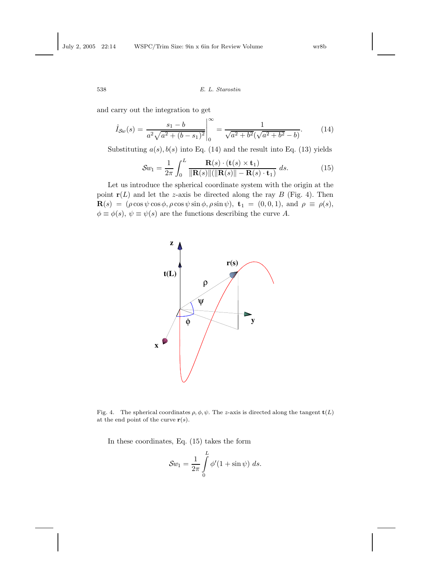and carry out the integration to get

$$
\hat{I}_{\mathcal{S}_w}(s) = \left. \frac{s_1 - b}{a^2 \sqrt{a^2 + (b - s_1)^2}} \right|_0^\infty = \frac{1}{\sqrt{a^2 + b^2} (\sqrt{a^2 + b^2} - b)}.\tag{14}
$$

Substituting  $a(s)$ ,  $b(s)$  into Eq. (14) and the result into Eq. (13) yields

$$
\mathcal{S}w_1 = \frac{1}{2\pi} \int_0^L \frac{\mathbf{R}(s) \cdot (\mathbf{t}(s) \times \mathbf{t}_1)}{\|\mathbf{R}(s)\| (\|\mathbf{R}(s)\| - \mathbf{R}(s) \cdot \mathbf{t}_1)} ds.
$$
(15)

Let us introduce the spherical coordinate system with the origin at the point  $r(L)$  and let the z-axis be directed along the ray B (Fig. 4). Then  $\mathbf{R}(s) = (\rho \cos \psi \cos \phi, \rho \cos \psi \sin \phi, \rho \sin \psi), \mathbf{t}_1 = (0, 0, 1), \text{ and } \rho \equiv \rho(s),$  $\phi \equiv \phi(s), \psi \equiv \psi(s)$  are the functions describing the curve A.



Fig. 4. The spherical coordinates  $\rho, \phi, \psi$ . The z-axis is directed along the tangent  $\mathbf{t}(L)$ at the end point of the curve  $r(s)$ .

In these coordinates, Eq. (15) takes the form

$$
\mathcal{S}w_1 = \frac{1}{2\pi} \int\limits_0^L \phi'(1+\sin\psi) \ ds.
$$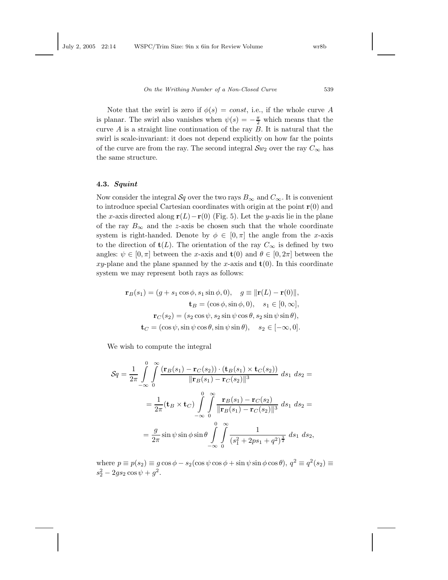Note that the swirl is zero if  $\phi(s) = const$ , i.e., if the whole curve A is planar. The swirl also vanishes when  $\psi(s) = -\frac{\pi}{2}$  which means that the curve  $A$  is a straight line continuation of the ray  $B$ . It is natural that the swirl is scale-invariant: it does not depend explicitly on how far the points of the curve are from the ray. The second integral  $\mathcal{S}w_2$  over the ray  $C_{\infty}$  has the same structure.

# 4.3. Squint

Now consider the integral  $\mathcal{S}_q$  over the two rays  $B_\infty$  and  $C_\infty$ . It is convenient to introduce special Cartesian coordinates with origin at the point  $r(0)$  and the x-axis directed along  $\mathbf{r}(L)-\mathbf{r}(0)$  (Fig. 5). Let the y-axis lie in the plane of the ray  $B_{\infty}$  and the z-axis be chosen such that the whole coordinate system is right-handed. Denote by  $\phi \in [0, \pi]$  the angle from the x-axis to the direction of  $t(L)$ . The orientation of the ray  $C_{\infty}$  is defined by two angles:  $\psi \in [0, \pi]$  between the x-axis and  $\mathbf{t}(0)$  and  $\theta \in [0, 2\pi]$  between the xy-plane and the plane spanned by the x-axis and  $t(0)$ . In this coordinate system we may represent both rays as follows:

$$
\mathbf{r}_B(s_1) = (g + s_1 \cos \phi, s_1 \sin \phi, 0), \quad g \equiv ||\mathbf{r}(L) - \mathbf{r}(0)||,
$$

$$
\mathbf{t}_B = (\cos \phi, \sin \phi, 0), \quad s_1 \in [0, \infty],
$$

$$
\mathbf{r}_C(s_2) = (s_2 \cos \psi, s_2 \sin \psi \cos \theta, s_2 \sin \psi \sin \theta),
$$

$$
\mathbf{t}_C = (\cos \psi, \sin \psi \cos \theta, \sin \psi \sin \theta), \quad s_2 \in [-\infty, 0].
$$

We wish to compute the integral

$$
\mathcal{S}q = \frac{1}{2\pi} \int_{-\infty}^{0} \int_{0}^{\infty} \frac{(\mathbf{r}_{B}(s_{1}) - \mathbf{r}_{C}(s_{2})) \cdot (\mathbf{t}_{B}(s_{1}) \times \mathbf{t}_{C}(s_{2}))}{\|\mathbf{r}_{B}(s_{1}) - \mathbf{r}_{C}(s_{2})\|^{3}} ds_{1} ds_{2} =
$$
  

$$
= \frac{1}{2\pi} (\mathbf{t}_{B} \times \mathbf{t}_{C}) \int_{-\infty}^{0} \int_{0}^{\infty} \frac{\mathbf{r}_{B}(s_{1}) - \mathbf{r}_{C}(s_{2})}{\|\mathbf{r}_{B}(s_{1}) - \mathbf{r}_{C}(s_{2})\|^{3}} ds_{1} ds_{2} =
$$
  

$$
= \frac{g}{2\pi} \sin \psi \sin \phi \sin \theta \int_{-\infty}^{0} \int_{0}^{\infty} \frac{1}{(s_{1}^{2} + 2ps_{1} + q^{2})^{\frac{3}{2}}} ds_{1} ds_{2},
$$

where  $p \equiv p(s_2) \equiv g \cos \phi - s_2(\cos \psi \cos \phi + \sin \psi \sin \phi \cos \theta), q^2 \equiv q^2(s_2) \equiv$  $s_2^2 - 2gs_2 \cos \psi + g^2$ .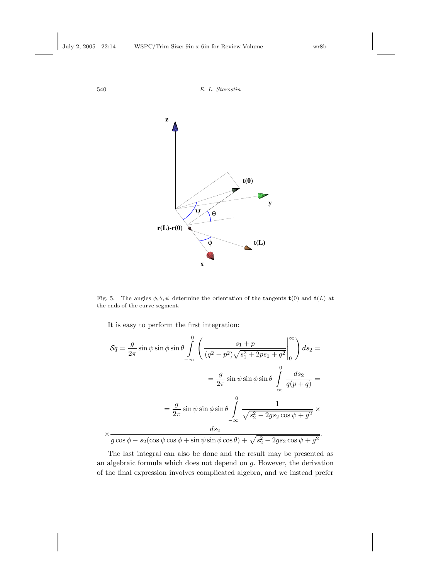

Fig. 5. The angles  $\phi, \theta, \psi$  determine the orientation of the tangents  $\mathbf{t}(0)$  and  $\mathbf{t}(L)$  at the ends of the curve segment.

It is easy to perform the first integration:

$$
\mathcal{S}q = \frac{g}{2\pi} \sin \psi \sin \phi \sin \theta \int_{-\infty}^{0} \left( \frac{s_1 + p}{(q^2 - p^2)\sqrt{s_1^2 + 2ps_1 + q^2}} \Big|_{0}^{\infty} \right) ds_2 =
$$
  

$$
= \frac{g}{2\pi} \sin \psi \sin \phi \sin \theta \int_{-\infty}^{0} \frac{ds_2}{q(p+q)} =
$$
  

$$
= \frac{g}{2\pi} \sin \psi \sin \phi \sin \theta \int_{-\infty}^{0} \frac{1}{\sqrt{s_2^2 - 2gs_2 \cos \psi + g^2}} \times
$$
  

$$
\frac{ds_2}{g \cos \phi - s_2 (\cos \psi \cos \phi + \sin \psi \sin \phi \cos \theta) + \sqrt{s_2^2 - 2gs_2 \cos \psi + g^2}}.
$$

The last integral can also be done and the result may be presented as an algebraic formula which does not depend on g. However, the derivation of the final expression involves complicated algebra, and we instead prefer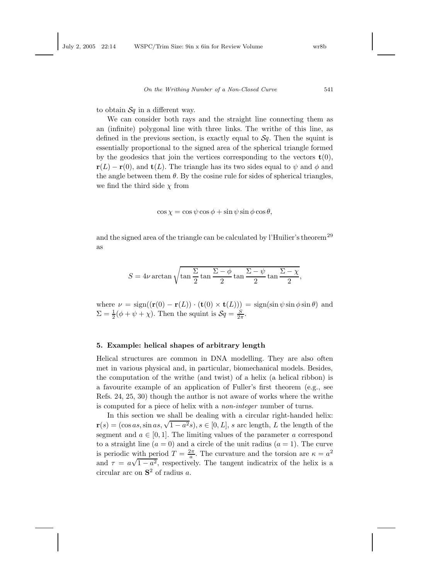to obtain  $\mathcal{S}_q$  in a different way.

We can consider both rays and the straight line connecting them as an (infinite) polygonal line with three links. The writhe of this line, as defined in the previous section, is exactly equal to  $\mathcal{S}_q$ . Then the squint is essentially proportional to the signed area of the spherical triangle formed by the geodesics that join the vertices corresponding to the vectors  $\mathbf{t}(0)$ ,  $\mathbf{r}(L) - \mathbf{r}(0)$ , and  $\mathbf{t}(L)$ . The triangle has its two sides equal to  $\psi$  and  $\phi$  and the angle between them  $\theta$ . By the cosine rule for sides of spherical triangles, we find the third side  $\chi$  from

$$
\cos \chi = \cos \psi \cos \phi + \sin \psi \sin \phi \cos \theta,
$$

and the signed area of the triangle can be calculated by l'Huilier's theorem<sup>29</sup> as

$$
S = 4\nu \arctan\sqrt{\tan\frac{\Sigma}{2}\tan\frac{\Sigma-\phi}{2}\tan\frac{\Sigma-\psi}{2}\tan\frac{\Sigma-\chi}{2}},
$$

where  $\nu = \text{sign}((\mathbf{r}(0) - \mathbf{r}(L)) \cdot (\mathbf{t}(0) \times \mathbf{t}(L))) = \text{sign}(\sin \psi \sin \phi \sin \theta)$  and  $\Sigma = \frac{1}{2}(\phi + \psi + \chi)$ . Then the squint is  $\mathcal{S}q = \frac{S}{2\pi}$ .

#### 5. Example: helical shapes of arbitrary length

Helical structures are common in DNA modelling. They are also often met in various physical and, in particular, biomechanical models. Besides, the computation of the writhe (and twist) of a helix (a helical ribbon) is a favourite example of an application of Fuller's first theorem (e.g., see Refs. 24, 25, 30) though the author is not aware of works where the writhe is computed for a piece of helix with a non-integer number of turns.

In this section we shall be dealing with a circular right-handed helix:  $\mathbf{r}(s) = (\cos as, \sin as, \sqrt{1-a^2s}), s \in [0, L], s \text{ arc length}, L \text{ the length of the }$ segment and  $a \in [0, 1]$ . The limiting values of the parameter a correspond to a straight line  $(a = 0)$  and a circle of the unit radius  $(a = 1)$ . The curve is periodic with period  $T = \frac{2\pi}{a}$ . The curvature and the torsion are  $\kappa = a^2$ and  $\tau = a\sqrt{1-a^2}$ , respectively. The tangent indicatrix of the helix is a circular arc on  $S^2$  of radius a.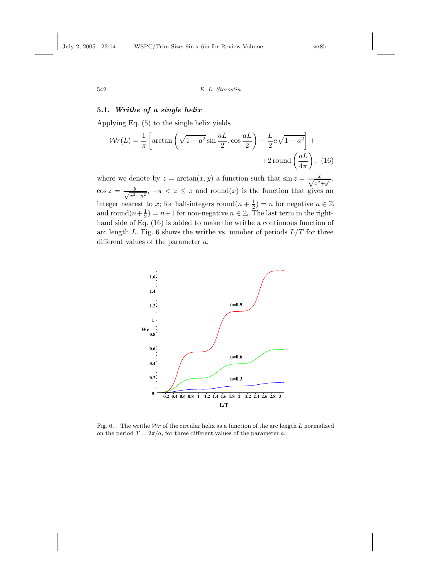# 5.1. Writhe of a single helix

Applying Eq. (5) to the single helix yields

$$
Wr(L) = \frac{1}{\pi} \left[ \arctan\left(\sqrt{1 - a^2} \sin \frac{aL}{2}, \cos \frac{aL}{2}\right) - \frac{L}{2} a \sqrt{1 - a^2} \right] +
$$
  
+2 round  $\left(\frac{aL}{4\pi}\right)$ , (16)

where we denote by  $z = \arctan(x, y)$  a function such that  $\sin z = \frac{x}{\sqrt{x^2+y^2}}$ ,  $\cos z = \frac{y}{\sqrt{x^2}}$  $\frac{y}{x^2+y^2}$ ,  $-\pi < z \leq \pi$  and round(x) is the function that gives an integer nearest to x; for half-integers round $(n + \frac{1}{2}) = n$  for negative  $n \in$ and round $(n+\frac{1}{2}) = n+1$  for non-negative  $n \in \mathbb{Z}$ . The last term in the righthand side of Eq. (16) is added to make the writhe a continuous function of arc length L. Fig. 6 shows the writhe vs. number of periods  $L/T$  for three different values of the parameter a.



Fig. 6. The writhe  $Wr$  of the circular helix as a function of the arc length L normalized on the period  $T = 2\pi/a$ , for three different values of the parameter a.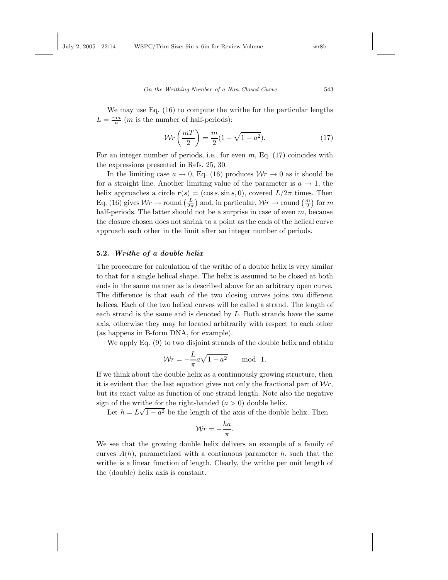We may use Eq. (16) to compute the writhe for the particular lengths  $L = \frac{\pi m}{a}$  (*m* is the number of half-periods):

$$
\mathcal{W}r\left(\frac{m}{2}\right) = \frac{m}{2}(1 - \sqrt{1 - a^2}).\tag{17}
$$

For an integer number of periods, i.e., for even  $m$ , Eq. (17) coincides with the expressions presented in Refs. 25, 30.

In the limiting case  $a \to 0$ , Eq. (16) produces  $Wr \to 0$  as it should be for a straight line. Another limiting value of the parameter is  $a \to 1$ , the helix approaches a circle  $\mathbf{r}(s) = (\cos s, \sin s, 0)$ , covered  $L/2\pi$  times. Then Eq. (16) gives  $Wr \to \text{round}\left(\frac{L}{2\pi}\right)$  and, in particular,  $Wr \to \text{round}\left(\frac{m}{2}\right)$  for m half-periods. The latter should not be a surprise in case of even  $m$ , because the closure chosen does not shrink to a point as the ends of the helical curve approach each other in the limit after an integer number of periods.

### 5.2. Writhe of a double helix

The procedure for calculation of the writhe of a double helix is very similar to that for a single helical shape. The helix is assumed to be closed at both ends in the same manner as is described above for an arbitrary open curve. The difference is that each of the two closing curves joins two different helices. Each of the two helical curves will be called a strand. The length of each strand is the same and is denoted by  $L$ . Both strands have the same axis, otherwise they may be located arbitrarily with respect to each other (as happens in B-form DNA, for example).

We apply Eq. (9) to two disjoint strands of the double helix and obtain

$$
\mathcal{W}r = -\frac{L}{\pi}a\sqrt{1 - a^2} \quad \text{mod } 1.
$$

If we think about the double helix as a continuously growing structure, then it is evident that the last equation gives not only the fractional part of  $\mathcal{W}r$ , but its exact value as function of one strand length. Note also the negative sign of the writhe for the right-handed  $(a > 0)$  double helix.

Let  $h = L\sqrt{1-a^2}$  be the length of the axis of the double helix. Then

$$
Wr = -\frac{ha}{\pi}.
$$

We see that the growing double helix delivers an example of a family of curves  $A(h)$ , parametrized with a continuous parameter h, such that the writhe is a linear function of length. Clearly, the writhe per unit length of the (double) helix axis is constant.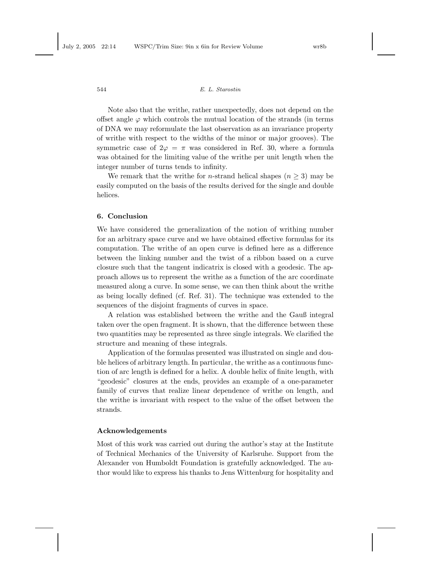Note also that the writhe, rather unexpectedly, does not depend on the offset angle  $\varphi$  which controls the mutual location of the strands (in terms of DNA we may reformulate the last observation as an invariance property of writhe with respect to the widths of the minor or major grooves). The symmetric case of  $2\varphi = \pi$  was considered in Ref. 30, where a formula was obtained for the limiting value of the writhe per unit length when the integer number of turns tends to infinity.

We remark that the writhe for *n*-strand helical shapes ( $n \geq 3$ ) may be easily computed on the basis of the results derived for the single and double helices.

### 6. Conclusion

We have considered the generalization of the notion of writhing number for an arbitrary space curve and we have obtained effective formulas for its computation. The writhe of an open curve is defined here as a difference between the linking number and the twist of a ribbon based on a curve closure such that the tangent indicatrix is closed with a geodesic. The approach allows us to represent the writhe as a function of the arc coordinate measured along a curve. In some sense, we can then think about the writhe as being locally defined (cf. Ref. 31). The technique was extended to the sequences of the disjoint fragments of curves in space.

A relation was established between the writhe and the Gauß integral taken over the open fragment. It is shown, that the difference between these two quantities may be represented as three single integrals. We clarified the structure and meaning of these integrals.

Application of the formulas presented was illustrated on single and double helices of arbitrary length. In particular, the writhe as a continuous function of arc length is defined for a helix. A double helix of finite length, with "geodesic" closures at the ends, provides an example of a one-parameter family of curves that realize linear dependence of writhe on length, and the writhe is invariant with respect to the value of the offset between the strands.

# Acknowledgements

Most of this work was carried out during the author's stay at the Institute of Technical Mechanics of the University of Karlsruhe. Support from the Alexander von Humboldt Foundation is gratefully acknowledged. The author would like to express his thanks to Jens Wittenburg for hospitality and